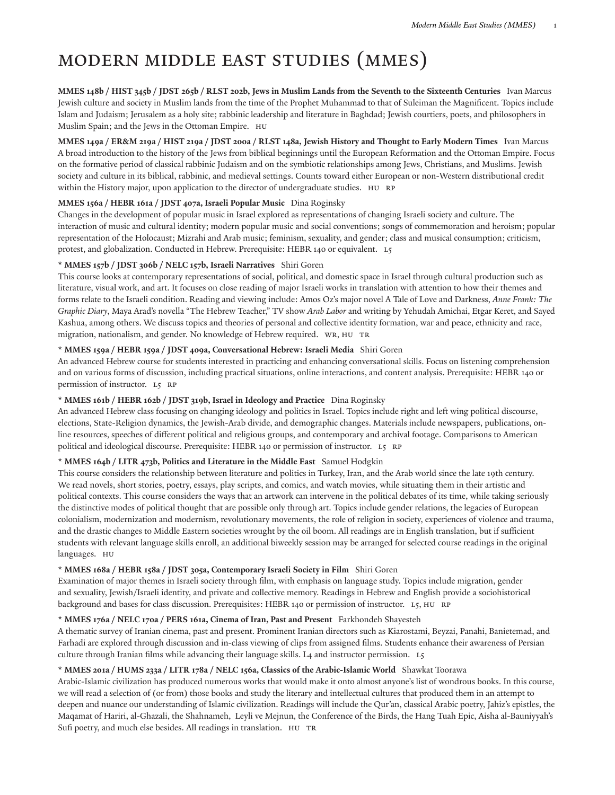# Modern Middle East Studies (MMES)

MMES 148b / HIST 345b / JDST 265b / RLST 202b, Jews in Muslim Lands from the Seventh to the Sixteenth Centuries Ivan Marcus Jewish culture and society in Muslim lands from the time of the Prophet Muhammad to that of Suleiman the Magnificent. Topics include Islam and Judaism; Jerusalem as a holy site; rabbinic leadership and literature in Baghdad; Jewish courtiers, poets, and philosophers in Muslim Spain; and the Jews in the Ottoman Empire. HU

MMES 149a / ER&M 219a / HIST 219a / JDST 200a / RLST 148a, Jewish History and Thought to Early Modern Times Ivan Marcus A broad introduction to the history of the Jews from biblical beginnings until the European Reformation and the Ottoman Empire. Focus on the formative period of classical rabbinic Judaism and on the symbiotic relationships among Jews, Christians, and Muslims. Jewish society and culture in its biblical, rabbinic, and medieval settings. Counts toward either European or non-Western distributional credit within the History major, upon application to the director of undergraduate studies. HU RP

## **MMES 156a / HEBR 161a / JDST 407a, Israeli Popular Music** Dina Roginsky

Changes in the development of popular music in Israel explored as representations of changing Israeli society and culture. The interaction of music and cultural identity; modern popular music and social conventions; songs of commemoration and heroism; popular representation of the Holocaust; Mizrahi and Arab music; feminism, sexuality, and gender; class and musical consumption; criticism, protest, and globalization. Conducted in Hebrew. Prerequisite: HEBR 140 or equivalent. L5

## **\* MMES 157b / JDST 306b / NELC 157b, Israeli Narratives** Shiri Goren

This course looks at contemporary representations of social, political, and domestic space in Israel through cultural production such as literature, visual work, and art. It focuses on close reading of major Israeli works in translation with attention to how their themes and forms relate to the Israeli condition. Reading and viewing include: Amos Oz's major novel A Tale of Love and Darkness, *Anne Frank: The Graphic Diary*, Maya Arad's novella "The Hebrew Teacher," TV show *Arab Labor* and writing by Yehudah Amichai, Etgar Keret, and Sayed Kashua, among others. We discuss topics and theories of personal and collective identity formation, war and peace, ethnicity and race, migration, nationalism, and gender. No knowledge of Hebrew required. WR, HU Tr

# **\* MMES 159a / HEBR 159a / JDST 409a, Conversational Hebrew: Israeli Media** Shiri Goren

An advanced Hebrew course for students interested in practicing and enhancing conversational skills. Focus on listening comprehension and on various forms of discussion, including practical situations, online interactions, and content analysis. Prerequisite: HEBR 140 or permission of instructor. L5 RP

# **\* MMES 161b / HEBR 162b / JDST 319b, Israel in Ideology and Practice** Dina Roginsky

An advanced Hebrew class focusing on changing ideology and politics in Israel. Topics include right and left wing political discourse, elections, State-Religion dynamics, the Jewish-Arab divide, and demographic changes. Materials include newspapers, publications, online resources, speeches of different political and religious groups, and contemporary and archival footage. Comparisons to American political and ideological discourse. Prerequisite: HEBR 140 or permission of instructor. L5 RP

## **\* MMES 164b / LITR 473b, Politics and Literature in the Middle East** Samuel Hodgkin

This course considers the relationship between literature and politics in Turkey, Iran, and the Arab world since the late 19th century. We read novels, short stories, poetry, essays, play scripts, and comics, and watch movies, while situating them in their artistic and political contexts. This course considers the ways that an artwork can intervene in the political debates of its time, while taking seriously the distinctive modes of political thought that are possible only through art. Topics include gender relations, the legacies of European colonialism, modernization and modernism, revolutionary movements, the role of religion in society, experiences of violence and trauma, and the drastic changes to Middle Eastern societies wrought by the oil boom. All readings are in English translation, but if sufficient students with relevant language skills enroll, an additional biweekly session may be arranged for selected course readings in the original languages. HU

## **\* MMES 168a / HEBR 158a / JDST 305a, Contemporary Israeli Society in Film** Shiri Goren

Examination of major themes in Israeli society through film, with emphasis on language study. Topics include migration, gender and sexuality, Jewish/Israeli identity, and private and collective memory. Readings in Hebrew and English provide a sociohistorical background and bases for class discussion. Prerequisites: HEBR 140 or permission of instructor. L5, HU RP

## **\* MMES 176a / NELC 170a / PERS 161a, Cinema of Iran, Past and Present** Farkhondeh Shayesteh

A thematic survey of Iranian cinema, past and present. Prominent Iranian directors such as Kiarostami, Beyzai, Panahi, Banietemad, and Farhadi are explored through discussion and in-class viewing of clips from assigned films. Students enhance their awareness of Persian culture through Iranian films while advancing their language skills. L4 and instructor permission. L5

## **\* MMES 201a / HUMS 233a / LITR 178a / NELC 156a, Classics of the Arabic-Islamic World** Shawkat Toorawa

Arabic-Islamic civilization has produced numerous works that would make it onto almost anyone's list of wondrous books. In this course, we will read a selection of (or from) those books and study the literary and intellectual cultures that produced them in an attempt to deepen and nuance our understanding of Islamic civilization. Readings will include the Qur'an, classical Arabic poetry, Jahiz's epistles, the Maqamat of Hariri, al-Ghazali, the Shahnameh, Leyli ve Mejnun, the Conference of the Birds, the Hang Tuah Epic, Aisha al-Bauniyyah's Sufi poetry, and much else besides. All readings in translation. HU Tr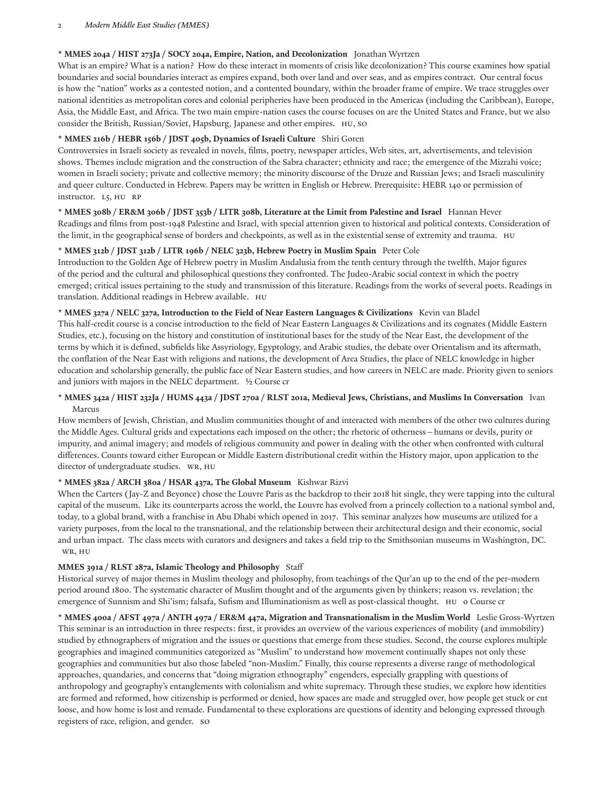#### 2 *Modern Middle East Studies (MMES)*

## **\* MMES 204a / HIST 273Ja / SOCY 204a, Empire, Nation, and Decolonization** Jonathan Wyrtzen

What is an empire? What is a nation? How do these interact in moments of crisis like decolonization? This course examines how spatial boundaries and social boundaries interact as empires expand, both over land and over seas, and as empires contract. Our central focus is how the "nation" works as a contested notion, and a contented boundary, within the broader frame of empire. We trace struggles over national identities as metropolitan cores and colonial peripheries have been produced in the Americas (including the Caribbean), Europe, Asia, the Middle East, and Africa. The two main empire-nation cases the course focuses on are the United States and France, but we also consider the British, Russian/Soviet, Hapsburg, Japanese and other empires. HU, SO

## **\* MMES 216b / HEBR 156b / JDST 405b, Dynamics of Israeli Culture** Shiri Goren

Controversies in Israeli society as revealed in novels, films, poetry, newspaper articles, Web sites, art, advertisements, and television shows. Themes include migration and the construction of the Sabra character; ethnicity and race; the emergence of the Mizrahi voice; women in Israeli society; private and collective memory; the minority discourse of the Druze and Russian Jews; and Israeli masculinity and queer culture. Conducted in Hebrew. Papers may be written in English or Hebrew. Prerequisite: HEBR 140 or permission of instructor. L5, HU RP

#### \* MMES 308b / ER&M 306b / JDST 353b / LITR 308b, Literature at the Limit from Palestine and Israel Hannan Hever

Readings and films from post-1948 Palestine and Israel, with special attention given to historical and political contexts. Consideration of the limit, in the geographical sense of borders and checkpoints, as well as in the existential sense of extremity and trauma. HU

#### **\* MMES 312b / JDST 312b / LITR 196b / NELC 323b, Hebrew Poetry in Muslim Spain** Peter Cole

Introduction to the Golden Age of Hebrew poetry in Muslim Andalusia from the tenth century through the twelh. Major figures of the period and the cultural and philosophical questions they confronted. The Judeo-Arabic social context in which the poetry emerged; critical issues pertaining to the study and transmission of this literature. Readings from the works of several poets. Readings in translation. Additional readings in Hebrew available. HU

#### **\* MMES 327a / NELC 327a, Introduction to the Field of Near Eastern Languages & Civilizations** Kevin van Bladel

This half-credit course is a concise introduction to the field of Near Eastern Languages & Civilizations and its cognates (Middle Eastern Studies, etc.), focusing on the history and constitution of institutional bases for the study of the Near East, the development of the terms by which it is defined, subfields like Assyriology, Egyptology, and Arabic studies, the debate over Orientalism and its aftermath, the conflation of the Near East with religions and nations, the development of Area Studies, the place of NELC knowledge in higher education and scholarship generally, the public face of Near Eastern studies, and how careers in NELC are made. Priority given to seniors and juniors with majors in the NELC department. ½ Course cr

# \* MMES 342a / HIST 232Ja / HUMS 443a / JDST 270a / RLST 201a, Medieval Jews, Christians, and Muslims In Conversation Ivan Marcus

How members of Jewish, Christian, and Muslim communities thought of and interacted with members of the other two cultures during the Middle Ages. Cultural grids and expectations each imposed on the other; the rhetoric of otherness—humans or devils, purity or impurity, and animal imagery; and models of religious community and power in dealing with the other when confronted with cultural differences. Counts toward either European or Middle Eastern distributional credit within the History major, upon application to the director of undergraduate studies. WR, HU

## **\* MMES 382a / ARCH 380a / HSAR 437a, The Global Museum** Kishwar Rizvi

When the Carters (Jay-Z and Beyonce) chose the Louvre Paris as the backdrop to their 2018 hit single, they were tapping into the cultural capital of the museum. Like its counterparts across the world, the Louvre has evolved from a princely collection to a national symbol and, today, to a global brand, with a franchise in Abu Dhabi which opened in 2017. This seminar analyzes how museums are utilized for a variety purposes, from the local to the transnational, and the relationship between their architectural design and their economic, social and urban impact. The class meets with curators and designers and takes a field trip to the Smithsonian museums in Washington, DC. WR, HU

## **MMES 391a / RLST 287a, Islamic Theology and Philosophy** Staff

Historical survey of major themes in Muslim theology and philosophy, from teachings of the Qur'an up to the end of the per-modern period around 1800. The systematic character of Muslim thought and of the arguments given by thinkers; reason vs. revelation; the emergence of Sunnism and Shi'ism; falsafa, Sufism and Illuminationism as well as post-classical thought. HU o Course cr

\* MMES 400a / AFST 497a / ANTH 497a / ER&M 447a, Migration and Transnationalism in the Muslim World Leslie Gross-Wyrtzen This seminar is an introduction in three respects: first, it provides an overview of the various experiences of mobility (and immobility) studied by ethnographers of migration and the issues or questions that emerge from these studies. Second, the course explores multiple geographies and imagined communities categorized as "Muslim" to understand how movement continually shapes not only these geographies and communities but also those labeled "non-Muslim." Finally, this course represents a diverse range of methodological approaches, quandaries, and concerns that "doing migration ethnography" engenders, especially grappling with questions of anthropology and geography's entanglements with colonialism and white supremacy. Through these studies, we explore how identities are formed and reformed, how citizenship is performed or denied, how spaces are made and struggled over, how people get stuck or cut loose, and how home is lost and remade. Fundamental to these explorations are questions of identity and belonging expressed through registers of race, religion, and gender. SO